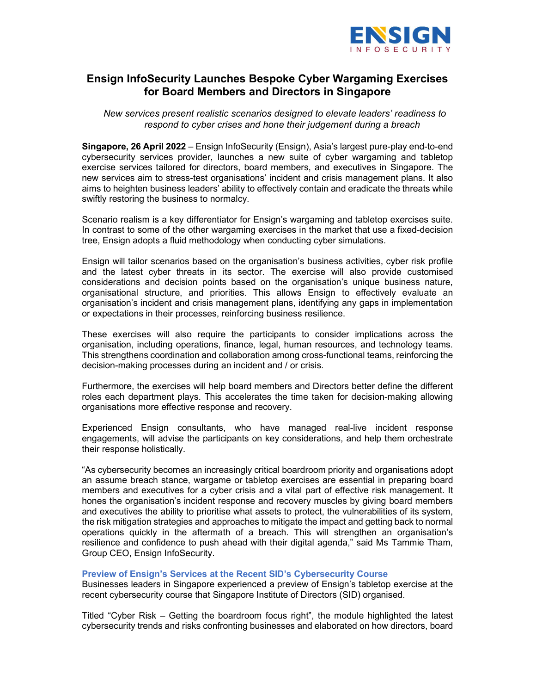

# Ensign InfoSecurity Launches Bespoke Cyber Wargaming Exercises for Board Members and Directors in Singapore

New services present realistic scenarios designed to elevate leaders' readiness to respond to cyber crises and hone their judgement during a breach

Singapore, 26 April 2022 – Ensign InfoSecurity (Ensign), Asia's largest pure-play end-to-end cybersecurity services provider, launches a new suite of cyber wargaming and tabletop exercise services tailored for directors, board members, and executives in Singapore. The new services aim to stress-test organisations' incident and crisis management plans. It also aims to heighten business leaders' ability to effectively contain and eradicate the threats while swiftly restoring the business to normalcy.

Scenario realism is a key differentiator for Ensign's wargaming and tabletop exercises suite. In contrast to some of the other wargaming exercises in the market that use a fixed-decision tree, Ensign adopts a fluid methodology when conducting cyber simulations.

Ensign will tailor scenarios based on the organisation's business activities, cyber risk profile and the latest cyber threats in its sector. The exercise will also provide customised considerations and decision points based on the organisation's unique business nature, organisational structure, and priorities. This allows Ensign to effectively evaluate an organisation's incident and crisis management plans, identifying any gaps in implementation or expectations in their processes, reinforcing business resilience.

These exercises will also require the participants to consider implications across the organisation, including operations, finance, legal, human resources, and technology teams. This strengthens coordination and collaboration among cross-functional teams, reinforcing the decision-making processes during an incident and / or crisis.

Furthermore, the exercises will help board members and Directors better define the different roles each department plays. This accelerates the time taken for decision-making allowing organisations more effective response and recovery.

Experienced Ensign consultants, who have managed real-live incident response engagements, will advise the participants on key considerations, and help them orchestrate their response holistically.

"As cybersecurity becomes an increasingly critical boardroom priority and organisations adopt an assume breach stance, wargame or tabletop exercises are essential in preparing board members and executives for a cyber crisis and a vital part of effective risk management. It hones the organisation's incident response and recovery muscles by giving board members and executives the ability to prioritise what assets to protect, the vulnerabilities of its system, the risk mitigation strategies and approaches to mitigate the impact and getting back to normal operations quickly in the aftermath of a breach. This will strengthen an organisation's resilience and confidence to push ahead with their digital agenda," said Ms Tammie Tham, Group CEO, Ensign InfoSecurity.

## Preview of Ensign's Services at the Recent SID's Cybersecurity Course

Businesses leaders in Singapore experienced a preview of Ensign's tabletop exercise at the recent cybersecurity course that Singapore Institute of Directors (SID) organised.

Titled "Cyber Risk – Getting the boardroom focus right", the module highlighted the latest cybersecurity trends and risks confronting businesses and elaborated on how directors, board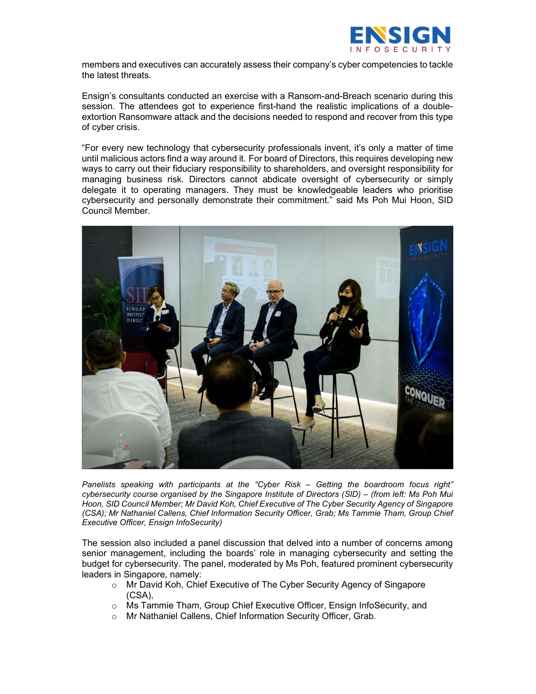

members and executives can accurately assess their company's cyber competencies to tackle the latest threats.

Ensign's consultants conducted an exercise with a Ransom-and-Breach scenario during this session. The attendees got to experience first-hand the realistic implications of a doubleextortion Ransomware attack and the decisions needed to respond and recover from this type of cyber crisis.

"For every new technology that cybersecurity professionals invent, it's only a matter of time until malicious actors find a way around it. For board of Directors, this requires developing new ways to carry out their fiduciary responsibility to shareholders, and oversight responsibility for managing business risk. Directors cannot abdicate oversight of cybersecurity or simply delegate it to operating managers. They must be knowledgeable leaders who prioritise cybersecurity and personally demonstrate their commitment." said Ms Poh Mui Hoon, SID Council Member.



Panelists speaking with participants at the "Cyber Risk – Getting the boardroom focus right" cybersecurity course organised by the Singapore Institute of Directors (SID) – (from left: Ms Poh Mui Hoon, SID Council Member; Mr David Koh, Chief Executive of The Cyber Security Agency of Singapore (CSA); Mr Nathaniel Callens, Chief Information Security Officer, Grab; Ms Tammie Tham, Group Chief Executive Officer, Ensign InfoSecurity)

The session also included a panel discussion that delved into a number of concerns among senior management, including the boards' role in managing cybersecurity and setting the budget for cybersecurity. The panel, moderated by Ms Poh, featured prominent cybersecurity leaders in Singapore, namely:

- o Mr David Koh, Chief Executive of The Cyber Security Agency of Singapore (CSA),
- o Ms Tammie Tham, Group Chief Executive Officer, Ensign InfoSecurity, and
- o Mr Nathaniel Callens, Chief Information Security Officer, Grab.